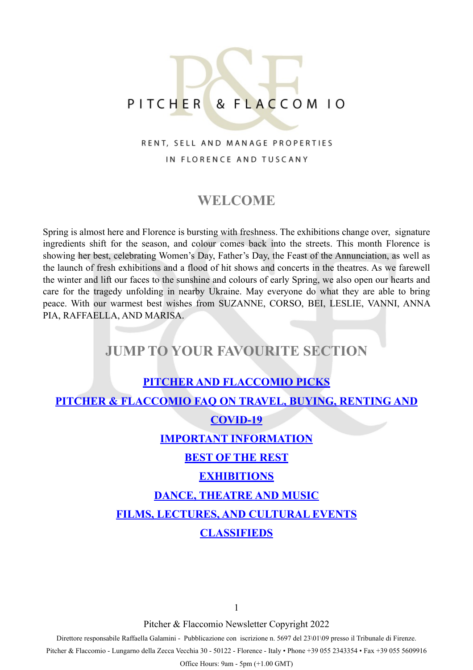# PITCHER & FLACCOM 10

### RENT, SELL AND MANAGE PROPERTIES IN FLORENCE AND TUSCANY

## **WELCOME**

Spring is almost here and Florence is bursting with freshness. The exhibitions change over, signature ingredients shift for the season, and colour comes back into the streets. This month Florence is showing her best, celebrating Women's Day, Father's Day, the Feast of the Annunciation, as well as the launch of fresh exhibitions and a flood of hit shows and concerts in the theatres. As we farewell the winter and lift our faces to the sunshine and colours of early Spring, we also open our hearts and care for the tragedy unfolding in nearby Ukraine. May everyone do what they are able to bring peace. With our warmest best wishes from SUZANNE, CORSO, BEI, LESLIE, VANNI, ANNA PIA, RAFFAELLA, AND MARISA.

## **JUMP TO YOUR FAVOURITE SECTION**

## **[PITCHER AND FLACCOMIO PICKS](#page-1-0)**

<span id="page-0-0"></span>**[PITCHER & FLACCOMIO FAQ ON TRAVEL, BUYING, RENTING AND](#page-0-0)** 

#### **[COVID-19](#page-0-0)**

#### **[IMPORTANT INFORMATION](#page-3-0)**

#### **[BEST OF THE REST](#page-4-0)**

#### **[EXHIBITIONS](#page-5-0)**

#### **[DANCE, THEATRE AND MUSIC](#page-7-0)**

#### **[FILMS, LECTURES, AND CULTURAL EVENTS](#page-8-0)**

### **[CLASSIFIEDS](#page-11-0)**

1

Pitcher & Flaccomio Newsletter Copyright 2022

Direttore responsabile Raffaella Galamini - Pubblicazione con iscrizione n. 5697 del 23\01\09 presso il Tribunale di Firenze.

Pitcher & Flaccomio - Lungarno della Zecca Vecchia 30 - 50122 - Florence - Italy • Phone +39 055 2343354 • Fax +39 055 5609916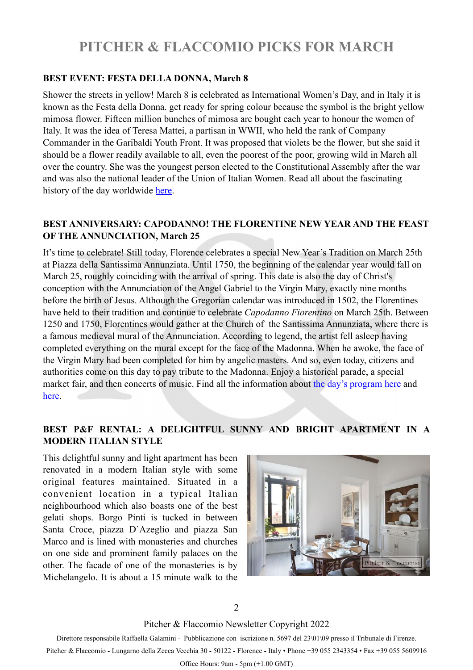## <span id="page-1-0"></span>**PITCHER & FLACCOMIO PICKS FOR MARCH**

#### **BEST EVENT: FESTA DELLA DONNA, March 8**

Shower the streets in yellow! March 8 is celebrated as International Women's Day, and in Italy it is known as the Festa della Donna. get ready for spring colour because the symbol is the bright yellow mimosa flower. Fifteen million bunches of mimosa are bought each year to honour the women of Italy. It was the idea of Teresa Mattei, a partisan in WWII, who held the rank of Company Commander in the Garibaldi Youth Front. It was proposed that violets be the flower, but she said it should be a flower readily available to all, even the poorest of the poor, growing wild in March all over the country. She was the youngest person elected to the Constitutional Assembly after the war and was also the national leader of the Union of Italian Women. Read all about the fascinating history of the day worldwide [here](https://www.internationalwomensday.com/About).

### **BEST ANNIVERSARY: CAPODANNO! THE FLORENTINE NEW YEAR AND THE FEAST OF THE ANNUNCIATION, March 25**

It's time to celebrate! Still today, Florence celebrates a special New Year's Tradition on March 25th at Piazza della Santissima Annunziata. Until 1750, the beginning of the calendar year would fall on March 25, roughly coinciding with the arrival of spring. This date is also the day of Christ's conception with the Annunciation of the Angel Gabriel to the Virgin Mary, exactly nine months before the birth of Jesus. Although the Gregorian calendar was introduced in 1502, the Florentines have held to their tradition and continue to celebrate *Capodanno Fiorentino* on March 25th. Between 1250 and 1750, Florentines would gather at the Church of the Santissima Annunziata, where there is a famous medieval mural of the Annunciation. According to legend, the artist fell asleep having completed everything on the mural except for the face of the Madonna. When he awoke, the face of the Virgin Mary had been completed for him by angelic masters. And so, even today, citizens and authorities come on this day to pay tribute to the Madonna. Enjoy a historical parade, a special market fair, and then concerts of music. Find all the information about [the day's program here](http://www.firenzeturismo.it/en/vivi-firenze-2/eventi-2/eventi-dettaglio-2.html?step=scheda&provenienza=e&id_risorsa=48251) and [here.](http://www.firenzeturismo.it/en/vivi-firenze-2/eventi-2/eventi-dettaglio-2.html?step=scheda&provenienza=e&id_risorsa=48308)

#### **BEST P&F RENTAL: A DELIGHTFUL SUNNY AND BRIGHT APARTMENT IN A MODERN ITALIAN STYLE**

This delightful sunny and light apartment has been renovated in a modern Italian style with some original features maintained. Situated in a convenient location in a typical Italian neighbourhood which also boasts one of the best gelati shops. Borgo Pinti is tucked in between Santa Croce, piazza D`Azeglio and piazza San Marco and is lined with monasteries and churches on one side and prominent family palaces on the other. The facade of one of the monasteries is by Michelangelo. It is about a 15 minute walk to the



2

Pitcher & Flaccomio Newsletter Copyright 2022

Direttore responsabile Raffaella Galamini - Pubblicazione con iscrizione n. 5697 del 23\01\09 presso il Tribunale di Firenze.

Pitcher & Flaccomio - Lungarno della Zecca Vecchia 30 - 50122 - Florence - Italy • Phone +39 055 2343354 • Fax +39 055 5609916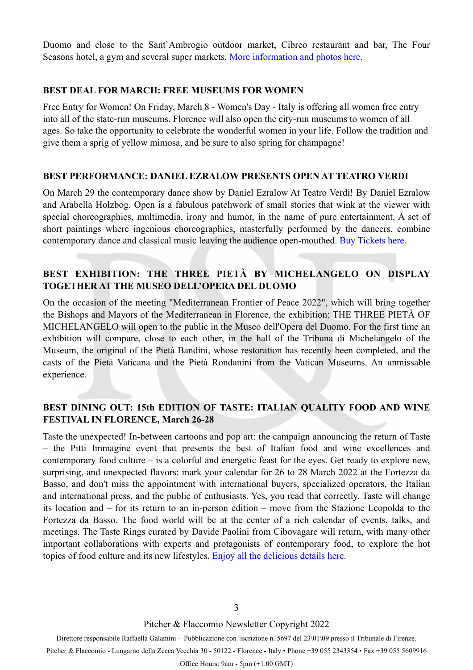Duomo and close to the Sant`Ambrogio outdoor market, Cibreo restaurant and bar, The Four Seasons hotel, a gym and several super markets. [More information and photos here](https://www.pitcherflaccomio.com/property/1199/).

#### **BEST DEAL FOR MARCH: FREE MUSEUMS FOR WOMEN**

Free Entry for Women! On Friday, March 8 - Women's Day - Italy is offering all women free entry into all of the state-run museums. Florence will also open the city-run museums to women of all ages. So take the opportunity to celebrate the wonderful women in your life. Follow the tradition and give them a sprig of yellow mimosa, and be sure to also spring for champagne!

#### **BEST PERFORMANCE: DANIEL EZRALOW PRESENTS OPEN AT TEATRO VERDI**

On March 29 the contemporary dance show by Daniel Ezralow At Teatro Verdi! By Daniel Ezralow and Arabella Holzbog. Open is a fabulous patchwork of small stories that wink at the viewer with special choreographies, multimedia, irony and humor, in the name of pure entertainment. A set of short paintings where ingenious choreographies, masterfully performed by the dancers, combine contemporary dance and classical music leaving the audience open-mouthed. [Buy Tickets here.](https://www.teatroverdifirenze.it/en/genere/open-2/)

### **BEST EXHIBITION: THE THREE PIETÀ BY MICHELANGELO ON DISPLAY TOGETHER AT THE MUSEO DELL'OPERA DEL DUOMO**

On the occasion of the meeting "Mediterranean Frontier of Peace 2022", which will bring together the Bishops and Mayors of the Mediterranean in Florence, the exhibition: THE THREE PIETÀ OF MICHELANGELO will open to the public in the Museo dell'Opera del Duomo. For the first time an exhibition will compare, close to each other, in the hall of the Tribuna di Michelangelo of the Museum, the original of the Pietà Bandini, whose restoration has recently been completed, and the casts of the Pietà Vaticana and the Pietà Rondanini from the Vatican Museums. An unmissable experience.

#### **BEST DINING OUT: 15th EDITION OF TASTE: ITALIAN QUALITY FOOD AND WINE FESTIVAL IN FLORENCE, March 26-28**

Taste the unexpected! In-between cartoons and pop art: the campaign announcing the return of Taste – the Pitti Immagine event that presents the best of Italian food and wine excellences and contemporary food culture – is a colorful and energetic feast for the eyes. Get ready to explore new, surprising, and unexpected flavors: mark your calendar for 26 to 28 March 2022 at the Fortezza da Basso, and don't miss the appointment with international buyers, specialized operators, the Italian and international press, and the public of enthusiasts. Yes, you read that correctly. Taste will change its location and – for its return to an in-person edition – move from the Stazione Leopolda to the Fortezza da Basso. The food world will be at the center of a rich calendar of events, talks, and meetings. The Taste Rings curated by Davide Paolini from Cibovagare will return, with many other important collaborations with experts and protagonists of contemporary food, to explore the hot topics of food culture and its new lifestyles. [Enjoy all the delicious details here.](https://taste.pittimmagine.com/en/news/taste-2022)

Pitcher & Flaccomio Newsletter Copyright 2022

Direttore responsabile Raffaella Galamini - Pubblicazione con iscrizione n. 5697 del 23\01\09 presso il Tribunale di Firenze. Pitcher & Flaccomio - Lungarno della Zecca Vecchia 30 - 50122 - Florence - Italy • Phone +39 055 2343354 • Fax +39 055 5609916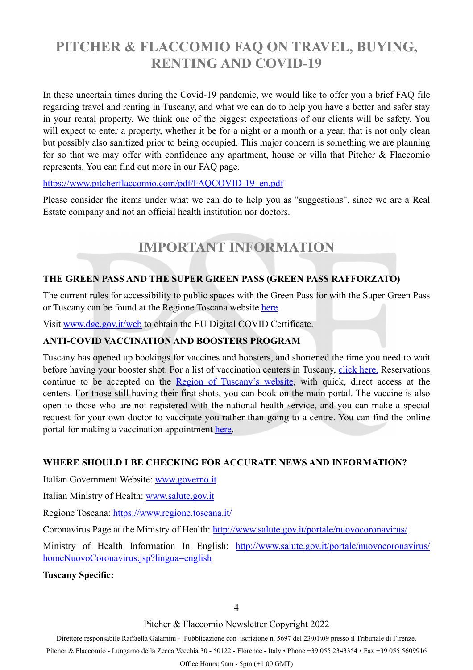## **PITCHER & FLACCOMIO FAQ ON TRAVEL, BUYING, RENTING AND COVID-19**

In these uncertain times during the Covid-19 pandemic, we would like to offer you a brief FAQ file regarding travel and renting in Tuscany, and what we can do to help you have a better and safer stay in your rental property. We think one of the biggest expectations of our clients will be safety. You will expect to enter a property, whether it be for a night or a month or a year, that is not only clean but possibly also sanitized prior to being occupied. This major concern is something we are planning for so that we may offer with confidence any apartment, house or villa that Pitcher & Flaccomio represents. You can find out more in our FAQ page.

#### [https://www.pitcherflaccomio.com/pdf/FAQCOVID-19\\_en.pdf](https://www.pitcherflaccomio.com/pdf/FAQCOVID-19_en.pdf)

Please consider the items under what we can do to help you as "suggestions", since we are a Real Estate company and not an official health institution nor doctors.

# <span id="page-3-0"></span>**IMPORTANT INFORMATION**

### **THE GREEN PASS AND THE SUPER GREEN PASS (GREEN PASS RAFFORZATO)**

The current rules for accessibility to public spaces with the Green Pass for with the Super Green Pass or Tuscany can be found at the Regione Toscana website [here.](https://www.regione.toscana.it/-/certificato-verde-covid-19)

Visit [www.dgc.gov.it/web](http://www.dgc.gov.it/web/) to obtain the EU Digital COVID Certificate.

#### **ANTI-COVID VACCINATION AND BOOSTERS PROGRAM**

Tuscany has opened up bookings for vaccines and boosters, and shortened the time you need to wait before having your booster shot. For a list of vaccination centers in Tuscany, [click here.](https://www.regione.toscana.it/-/dove-vaccinarsi) Reservations continue to be accepted on the [Region of Tuscany's website](https://prenotavaccino.sanita.toscana.it/%23/home), with quick, direct access at the centers. For those still having their first shots, you can book on the main portal. The vaccine is also open to those who are not registered with the national health service, and you can make a special request for your own doctor to vaccinate you rather than going to a centre. You can find the online portal for making a vaccination appointment [here](https://prenotavaccino.sanita.toscana.it/%23/home).

#### **WHERE SHOULD I BE CHECKING FOR ACCURATE NEWS AND INFORMATION?**

Italian Government Website: [www.governo.it](http://www.governo.it)

Italian Ministry of Health: [www.salute.gov.it](http://www.salute.gov.it/?fbclid=IwAR37pZhesC9o9nGmkzkeY2CGYt-hSECzU72KRLH8WRUgJwTd85mD2KS_mvg)

Regione Toscana:<https://www.regione.toscana.it/>

Coronavirus Page at the Ministry of Health: [http://www.salute.gov.it/portale/nuovocoronavirus/](http://www.salute.gov.it/portale/nuovocoronavirus/dettaglioContenutiNuovoCoronavirus.jsp?lingua=italiano&id=5351&area=nuovoCoronavirus&menu=vuoto)

Ministry of Health Information In English: [http://www.salute.gov.it/portale/nuovocoronavirus/](http://www.salute.gov.it/portale/nuovocoronavirus/homeNuovoCoronavirus.jsp?lingua=english) [homeNuovoCoronavirus.jsp?lingua=english](http://www.salute.gov.it/portale/nuovocoronavirus/homeNuovoCoronavirus.jsp?lingua=english)

#### **Tuscany Specific:**

Pitcher & Flaccomio Newsletter Copyright 2022

Direttore responsabile Raffaella Galamini - Pubblicazione con iscrizione n. 5697 del 23\01\09 presso il Tribunale di Firenze.

Pitcher & Flaccomio - Lungarno della Zecca Vecchia 30 - 50122 - Florence - Italy • Phone +39 055 2343354 • Fax +39 055 5609916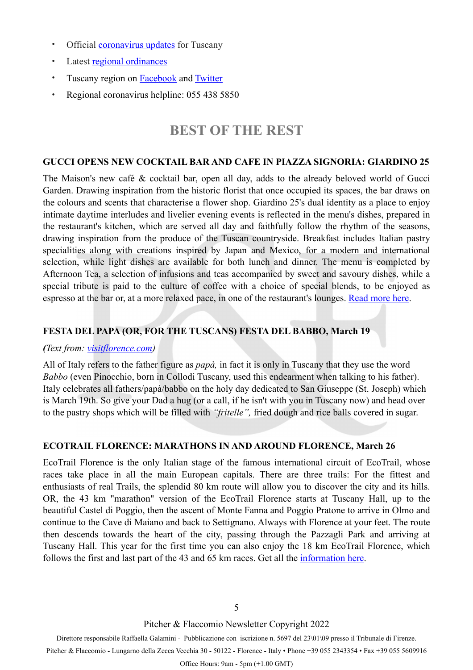- Official **[coronavirus updates](https://www.regione.toscana.it/-/coronavirus)** for Tuscany
- Latest [regional ordinances](https://www.regione.toscana.it/-/ordinanze-della-regione-toscana)
- Tuscany region on **[Facebook](https://www.facebook.com/regionetoscana.paginaufficiale/)** and **[Twitter](https://twitter.com/regionetoscana)**
- Regional coronavirus helpline: 055 438 5850

## <span id="page-4-0"></span>**BEST OF THE REST**

#### **GUCCI OPENS NEW COCKTAIL BAR AND CAFE IN PIAZZA SIGNORIA: GIARDINO 25**

The Maison's new café & cocktail bar, open all day, adds to the already beloved world of Gucci Garden. Drawing inspiration from the historic florist that once occupied its spaces, the bar draws on the colours and scents that characterise a flower shop. Giardino 25's dual identity as a place to enjoy intimate daytime interludes and livelier evening events is reflected in the menu's dishes, prepared in the restaurant's kitchen, which are served all day and faithfully follow the rhythm of the seasons, drawing inspiration from the produce of the Tuscan countryside. Breakfast includes Italian pastry specialities along with creations inspired by Japan and Mexico, for a modern and international selection, while light dishes are available for both lunch and dinner. The menu is completed by Afternoon Tea, a selection of infusions and teas accompanied by sweet and savoury dishes, while a special tribute is paid to the culture of coffee with a choice of special blends, to be enjoyed as espresso at the bar or, at a more relaxed pace, in one of the restaurant's lounges. [Read more here](https://www.firenzemadeintuscany.com/it/articolo/gucci-giardino-25-apre-il-primo-cocktail-bar-della-maison/?fbclid=IwAR31PXuQStCoKKKneaTkLPKdES7jf0yW3_NhEgTtkgceLBrnasYpvID_df4).

### **FESTA DEL PAPA (OR, FOR THE TUSCANS) FESTA DEL BABBO, March 19**

#### *(Text from: [visitflorence.com\)](http://www.visitflorence.com/florence-events/march-in-florence.html)*

All of Italy refers to the father figure as *papà,* in fact it is only in Tuscany that they use the word *Babbo* (even Pinocchio, born in Collodi Tuscany, used this endearment when talking to his father). Italy celebrates all fathers/papà/babbo on the holy day dedicated to San Giuseppe (St. Joseph) which is March 19th. So give your Dad a hug (or a call, if he isn't with you in Tuscany now) and head over to the pastry shops which will be filled with *"fritelle",* fried dough and rice balls covered in sugar.

#### **ECOTRAIL FLORENCE: MARATHONS IN AND AROUND FLORENCE, March 26**

EcoTrail Florence is the only Italian stage of the famous international circuit of EcoTrail, whose races take place in all the main European capitals. There are three trails: For the fittest and enthusiasts of real Trails, the splendid 80 km route will allow you to discover the city and its hills. OR, the 43 km "marathon" version of the EcoTrail Florence starts at Tuscany Hall, up to the beautiful Castel di Poggio, then the ascent of Monte Fanna and Poggio Pratone to arrive in Olmo and continue to the Cave di Maiano and back to Settignano. Always with Florence at your feet. The route then descends towards the heart of the city, passing through the Pazzagli Park and arriving at Tuscany Hall. This year for the first time you can also enjoy the 18 km EcoTrail Florence, which follows the first and last part of the 43 and 65 km races. Get all the [information here.](https://florence.ecotrail.com/)

Pitcher & Flaccomio Newsletter Copyright 2022

Direttore responsabile Raffaella Galamini - Pubblicazione con iscrizione n. 5697 del 23\01\09 presso il Tribunale di Firenze. Pitcher & Flaccomio - Lungarno della Zecca Vecchia 30 - 50122 - Florence - Italy • Phone +39 055 2343354 • Fax +39 055 5609916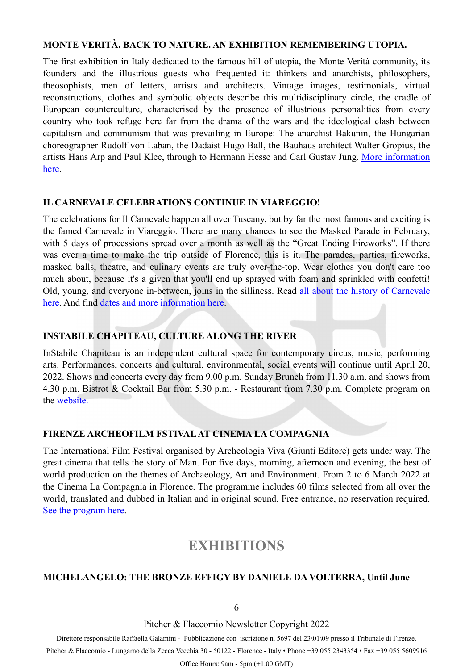#### **MONTE VERITÀ. BACK TO NATURE. AN EXHIBITION REMEMBERING UTOPIA.**

The first exhibition in Italy dedicated to the famous hill of utopia, the Monte Verità community, its founders and the illustrious guests who frequented it: thinkers and anarchists, philosophers, theosophists, men of letters, artists and architects. Vintage images, testimonials, virtual reconstructions, clothes and symbolic objects describe this multidisciplinary circle, the cradle of European counterculture, characterised by the presence of illustrious personalities from every country who took refuge here far from the drama of the wars and the ideological clash between capitalism and communism that was prevailing in Europe: The anarchist Bakunin, the Hungarian choreographer Rudolf von Laban, the Dadaist Hugo Ball, the Bauhaus architect Walter Gropius, the artists Hans Arp and Paul Klee, through to Hermann Hesse and Carl Gustav Jung. [More information](https://www.museonovecento.it/mostre/monte-verita-back-to-nature/)  [here.](https://www.museonovecento.it/mostre/monte-verita-back-to-nature/)

#### **IL CARNEVALE CELEBRATIONS CONTINUE IN VIAREGGIO!**

The celebrations for Il Carnevale happen all over Tuscany, but by far the most famous and exciting is the famed Carnevale in Viareggio. There are many chances to see the Masked Parade in February, with 5 days of processions spread over a month as well as the "Great Ending Fireworks". If there was ever a time to make the trip outside of Florence, this is it. The parades, parties, fireworks, masked balls, theatre, and culinary events are truly over-the-top. Wear clothes you don't care too much about, because it's a given that you'll end up sprayed with foam and sprinkled with confetti! Old, young, and everyone in-between, joins in the silliness. Read [all about the history of Carnevale](https://www.discovertuscany.com/tuscany-events/carnival-in-tuscany.html)  [here.](https://www.discovertuscany.com/tuscany-events/carnival-in-tuscany.html) And find [dates and more information here.](http://viareggio.ilcarnevale.com/)

#### **INSTABILE CHAPITEAU, CULTURE ALONG THE RIVER**

InStabile Chapiteau is an independent cultural space for contemporary circus, music, performing arts. Performances, concerts and cultural, environmental, social events will continue until April 20, 2022. Shows and concerts every day from 9.00 p.m. Sunday Brunch from 11.30 a.m. and shows from 4.30 p.m. Bistrot & Cocktail Bar from 5.30 p.m. - Restaurant from 7.30 p.m. Complete program on the [website](https://www.cirkfantastik.com/instabile/).

#### **FIRENZE ARCHEOFILM FSTIVAL AT CINEMA LA COMPAGNIA**

The International Film Festival organised by Archeologia Viva (Giunti Editore) gets under way. The great cinema that tells the story of Man. For five days, morning, afternoon and evening, the best of world production on the themes of Archaeology, Art and Environment. From 2 to 6 March 2022 at the Cinema La Compagnia in Florence. The programme includes 60 films selected from all over the world, translated and dubbed in Italian and in original sound. Free entrance, no reservation required. [See the program here](https://www.firenzearcheofilm.it/en/home-en/).

## <span id="page-5-0"></span>**EXHIBITIONS**

#### **MICHELANGELO: THE BRONZE EFFIGY BY DANIELE DA VOLTERRA, Until June**

Pitcher & Flaccomio Newsletter Copyright 2022

Direttore responsabile Raffaella Galamini - Pubblicazione con iscrizione n. 5697 del 23\01\09 presso il Tribunale di Firenze.

Pitcher & Flaccomio - Lungarno della Zecca Vecchia 30 - 50122 - Florence - Italy • Phone +39 055 2343354 • Fax +39 055 5609916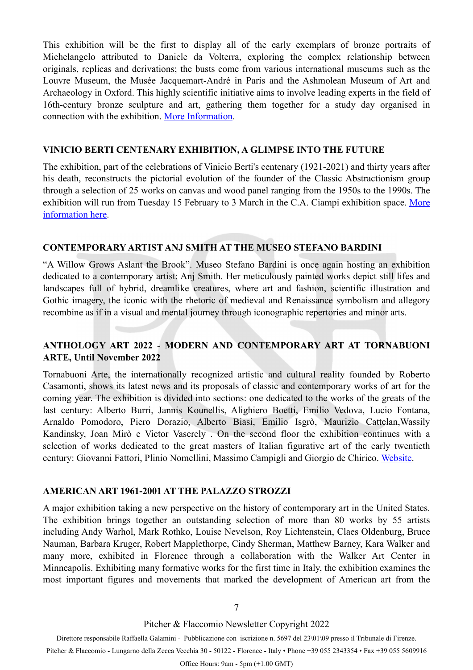This exhibition will be the first to display all of the early exemplars of bronze portraits of Michelangelo attributed to Daniele da Volterra, exploring the complex relationship between originals, replicas and derivations; the busts come from various international museums such as the Louvre Museum, the Musée Jacquemart-André in Paris and the Ashmolean Museum of Art and Archaeology in Oxford. This highly scientific initiative aims to involve leading experts in the field of 16th-century bronze sculpture and art, gathering them together for a study day organised in connection with the exhibition. [More Information.](https://www.galleriaaccademiafirenze.it/en/)

#### **VINICIO BERTI CENTENARY EXHIBITION, A GLIMPSE INTO THE FUTURE**

The exhibition, part of the celebrations of Vinicio Berti's centenary (1921-2021) and thirty years after his death, reconstructs the pictorial evolution of the founder of the Classic Abstractionism group through a selection of 25 works on canvas and wood panel ranging from the 1950s to the 1990s. The exhibition will run from Tuesday 15 February to 3 March in the C.A. Ciampi exhibition space. More [information here](http://www.consiglio.regione.toscana.it/iniziative/vista?id=3481).

#### **CONTEMPORARY ARTIST ANJ SMITH AT THE MUSEO STEFANO BARDINI**

"A Willow Grows Aslant the Brook". Museo Stefano Bardini is once again hosting an exhibition dedicated to a contemporary artist: Anj Smith. Her meticulously painted works depict still lifes and landscapes full of hybrid, dreamlike creatures, where art and fashion, scientific illustration and Gothic imagery, the iconic with the rhetoric of medieval and Renaissance symbolism and allegory recombine as if in a visual and mental journey through iconographic repertories and minor arts.

#### **ANTHOLOGY ART 2022 - MODERN AND CONTEMPORARY ART AT TORNABUONI ARTE, Until November 2022**

Tornabuoni Arte, the internationally recognized artistic and cultural reality founded by Roberto Casamonti, shows its latest news and its proposals of classic and contemporary works of art for the coming year. The exhibition is divided into sections: one dedicated to the works of the greats of the last century: Alberto Burri, Jannis Kounellis, Alighiero Boetti, Emilio Vedova, Lucio Fontana, Arnaldo Pomodoro, Piero Dorazio, Alberto Biasi, Emilio Isgrò, Maurizio Cattelan,Wassily Kandinsky, Joan Mirò e Victor Vaserely . On the second floor the exhibition continues with a selection of works dedicated to the great masters of Italian figurative art of the early twentieth century: Giovanni Fattori, Plinio Nomellini, Massimo Campigli and Giorgio de Chirico. [Website.](https://www.tornabuoniart.com/it/)

#### **AMERICAN ART 1961-2001 AT THE PALAZZO STROZZI**

A major exhibition taking a new perspective on the history of contemporary art in the United States. The exhibition brings together an outstanding selection of more than 80 works by 55 artists including Andy Warhol, Mark Rothko, Louise Nevelson, Roy Lichtenstein, Claes Oldenburg, Bruce Nauman, Barbara Kruger, Robert Mapplethorpe, Cindy Sherman, Matthew Barney, Kara Walker and many more, exhibited in Florence through a collaboration with the Walker Art Center in Minneapolis. Exhibiting many formative works for the first time in Italy, the exhibition examines the most important figures and movements that marked the development of American art from the

7

Pitcher & Flaccomio Newsletter Copyright 2022

Direttore responsabile Raffaella Galamini - Pubblicazione con iscrizione n. 5697 del 23\01\09 presso il Tribunale di Firenze.

Pitcher & Flaccomio - Lungarno della Zecca Vecchia 30 - 50122 - Florence - Italy • Phone +39 055 2343354 • Fax +39 055 5609916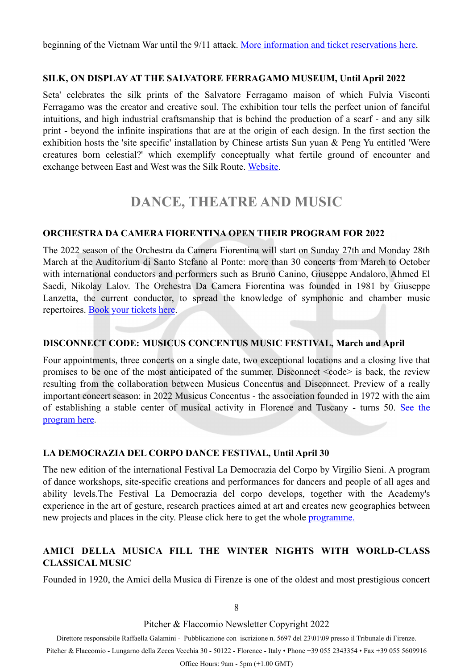beginning of the Vietnam War until the 9/11 attack. [More information and ticket reservations here.](https://www.palazzostrozzi.org/en/archivio/exhibitions/american-art-1961-2001/)

#### **SILK, ON DISPLAY AT THE SALVATORE FERRAGAMO MUSEUM, Until April 2022**

Seta' celebrates the silk prints of the Salvatore Ferragamo maison of which Fulvia Visconti Ferragamo was the creator and creative soul. The exhibition tour tells the perfect union of fanciful intuitions, and high industrial craftsmanship that is behind the production of a scarf - and any silk print - beyond the infinite inspirations that are at the origin of each design. In the first section the exhibition hosts the 'site specific' installation by Chinese artists Sun yuan & Peng Yu entitled 'Were creatures born celestial?' which exemplify conceptually what fertile ground of encounter and exchange between East and West was the Silk Route. [Website](https://www.ferragamo.com/museo/en).

## <span id="page-7-0"></span>**DANCE, THEATRE AND MUSIC**

#### **ORCHESTRA DA CAMERA FIORENTINA OPEN THEIR PROGRAM FOR 2022**

The 2022 season of the Orchestra da Camera Fiorentina will start on Sunday 27th and Monday 28th March at the Auditorium di Santo Stefano al Ponte: more than 30 concerts from March to October with international conductors and performers such as Bruno Canino, Giuseppe Andaloro, Ahmed El Saedi, Nikolay Lalov. The Orchestra Da Camera Fiorentina was founded in 1981 by Giuseppe Lanzetta, the current conductor, to spread the knowledge of symphonic and chamber music repertoires. [Book your tickets here](https://www.ticketone.it/eventseries/orchestra-da-camera-fiorentina-2022-3076542/).

#### **DISCONNECT CODE: MUSICUS CONCENTUS MUSIC FESTIVAL, March and April**

Four appointments, three concerts on a single date, two exceptional locations and a closing live that promises to be one of the most anticipated of the summer. Disconnect  $\leq$ code> is back, the review resulting from the collaboration between Musicus Concentus and Disconnect. Preview of a really important concert season: in 2022 Musicus Concentus - the association founded in 1972 with the aim of establishing a stable center of musical activity in Florence and Tuscany - turns 50. [See the](https://www.musicusconcentus.com/events/)  [program here](https://www.musicusconcentus.com/events/).

#### **LA DEMOCRAZIA DEL CORPO DANCE FESTIVAL, Until April 30**

The new edition of the international Festival La Democrazia del Corpo by Virgilio Sieni. A program of dance workshops, site-specific creations and performances for dancers and people of all ages and ability levels.The Festival La Democrazia del corpo develops, together with the Academy's experience in the art of gesture, research practices aimed at art and creates new geographies between new projects and places in the city. Please click here to get the whole [programme.](https://www.virgiliosieni.it/cango/)

#### **AMICI DELLA MUSICA FILL THE WINTER NIGHTS WITH WORLD-CLASS CLASSICAL MUSIC**

Founded in 1920, the Amici della Musica di Firenze is one of the oldest and most prestigious concert

8

Pitcher & Flaccomio Newsletter Copyright 2022

Direttore responsabile Raffaella Galamini - Pubblicazione con iscrizione n. 5697 del 23\01\09 presso il Tribunale di Firenze.

Pitcher & Flaccomio - Lungarno della Zecca Vecchia 30 - 50122 - Florence - Italy • Phone +39 055 2343354 • Fax +39 055 5609916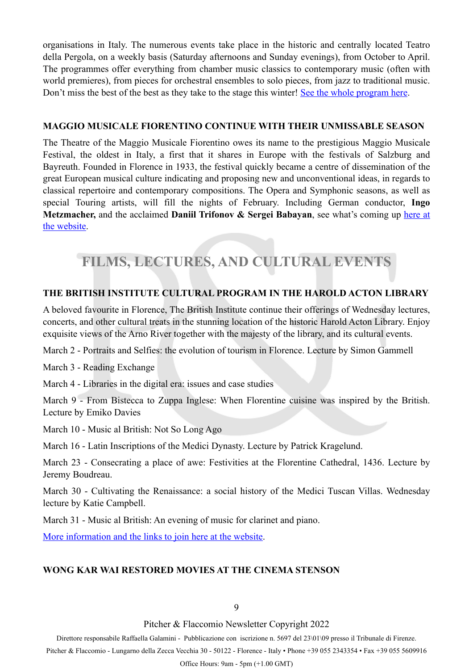organisations in Italy. The numerous events take place in the historic and centrally located Teatro della Pergola, on a weekly basis (Saturday afternoons and Sunday evenings), from October to April. The programmes offer everything from chamber music classics to contemporary music (often with world premieres), from pieces for orchestral ensembles to solo pieces, from jazz to traditional music. Don't miss the best of the best as they take to the stage this winter! [See the whole program here.](https://amicimusicafirenze.it/stagione/)

#### **MAGGIO MUSICALE FIORENTINO CONTINUE WITH THEIR UNMISSABLE SEASON**

The Theatre of the Maggio Musicale Fiorentino owes its name to the prestigious Maggio Musicale Festival, the oldest in Italy, a first that it shares in Europe with the festivals of Salzburg and Bayreuth. Founded in Florence in 1933, the festival quickly became a centre of dissemination of the great European musical culture indicating and proposing new and unconventional ideas, in regards to classical repertoire and contemporary compositions. The Opera and Symphonic seasons, as well as special Touring artists, will fill the nights of February. Including German conductor, **Ingo**  Metzmacher, and the acclaimed **Daniil Trifonov & Sergei Babayan**, see what's coming up here at [the website](https://www.maggiofiorentino.com/calendar).

# <span id="page-8-0"></span>**FILMS, LECTURES, AND CULTURAL EVENTS**

#### **THE BRITISH INSTITUTE CULTURAL PROGRAM IN THE HAROLD ACTON LIBRARY**

A beloved favourite in Florence, The British Institute continue their offerings of Wednesday lectures, concerts, and other cultural treats in the stunning location of the historic Harold Acton Library. Enjoy exquisite views of the Arno River together with the majesty of the library, and its cultural events.

March 2 - Portraits and Selfies: the evolution of tourism in Florence. Lecture by Simon Gammell

March 3 - Reading Exchange

March 4 - Libraries in the digital era: issues and case studies

March 9 - From Bistecca to Zuppa Inglese: When Florentine cuisine was inspired by the British. Lecture by Emiko Davies

March 10 - Music al British: Not So Long Ago

March 16 - Latin Inscriptions of the Medici Dynasty. Lecture by Patrick Kragelund.

March 23 - Consecrating a place of awe: Festivities at the Florentine Cathedral, 1436. Lecture by Jeremy Boudreau.

March 30 - Cultivating the Renaissance: a social history of the Medici Tuscan Villas. Wednesday lecture by Katie Campbell.

March 31 - Music al British: An evening of music for clarinet and piano.

[More information and the links to join here at the website.](https://www.britishinstitute.it/en/news-events/events)

#### **WONG KAR WAI RESTORED MOVIES AT THE CINEMA STENSON**

#### 9

Pitcher & Flaccomio Newsletter Copyright 2022

Direttore responsabile Raffaella Galamini - Pubblicazione con iscrizione n. 5697 del 23\01\09 presso il Tribunale di Firenze.

Pitcher & Flaccomio - Lungarno della Zecca Vecchia 30 - 50122 - Florence - Italy • Phone +39 055 2343354 • Fax +39 055 5609916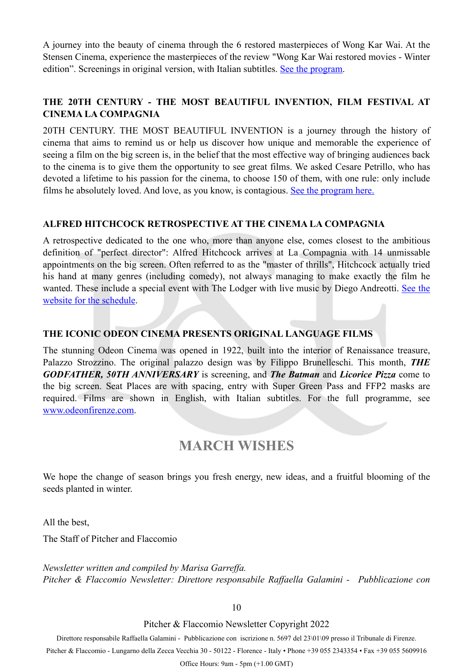A journey into the beauty of cinema through the 6 restored masterpieces of Wong Kar Wai. At the Stensen Cinema, experience the masterpieces of the review "Wong Kar Wai restored movies - Winter edition". Screenings in original version, with Italian subtitles. [See the program.](https://stensen.org/attivita/il-cinema-restaurato-di-wong-kar-wai-winter-edition/)

### **THE 20TH CENTURY - THE MOST BEAUTIFUL INVENTION, FILM FESTIVAL AT CINEMA LA COMPAGNIA**

20TH CENTURY. THE MOST BEAUTIFUL INVENTION is a journey through the history of cinema that aims to remind us or help us discover how unique and memorable the experience of seeing a film on the big screen is, in the belief that the most effective way of bringing audiences back to the cinema is to give them the opportunity to see great films. We asked Cesare Petrillo, who has devoted a lifetime to his passion for the cinema, to choose 150 of them, with one rule: only include films he absolutely loved. And love, as you know, is contagious. [See the program here.](https://www.feelflorence.it/en/node/47542)

#### **ALFRED HITCHCOCK RETROSPECTIVE AT THE CINEMA LA COMPAGNIA**

A retrospective dedicated to the one who, more than anyone else, comes closest to the ambitious definition of "perfect director": Alfred Hitchcock arrives at La Compagnia with 14 unmissable appointments on the big screen. Often referred to as the "master of thrills", Hitchcock actually tried his hand at many genres (including comedy), not always managing to make exactly the film he wanted. These include a special event with The Lodger with live music by Diego Andreotti. [See the](https://www.cinemalacompagnia.it/evento/alfred-hitchcock-il-regista-perfetto/) [website for the schedule](https://www.cinemalacompagnia.it/evento/alfred-hitchcock-il-regista-perfetto/).

#### **THE ICONIC ODEON CINEMA PRESENTS ORIGINAL LANGUAGE FILMS**

The stunning Odeon Cinema was opened in 1922, built into the interior of Renaissance treasure, Palazzo Strozzino. The original palazzo design was by Filippo Brunelleschi. This month, *THE GODFATHER, 50TH ANNIVERSARY* is screening, and *The Batman* and *Licorice Pizza* come to the big screen. Seat Places are with spacing, entry with Super Green Pass and FFP2 masks are required. Films are shown in English, with Italian subtitles. For the full programme, see [www.odeonfirenze.com](http://www.odeonfirenze.com/).

## **MARCH WISHES**

We hope the change of season brings you fresh energy, new ideas, and a fruitful blooming of the seeds planted in winter.

All the best,

The Staff of Pitcher and Flaccomio

*Newsletter written and compiled by Marisa Garreffa. Pitcher & Flaccomio Newsletter: Direttore responsabile Raffaella Galamini - Pubblicazione con* 

10

Pitcher & Flaccomio Newsletter Copyright 2022

Direttore responsabile Raffaella Galamini - Pubblicazione con iscrizione n. 5697 del 23\01\09 presso il Tribunale di Firenze.

Pitcher & Flaccomio - Lungarno della Zecca Vecchia 30 - 50122 - Florence - Italy • Phone +39 055 2343354 • Fax +39 055 5609916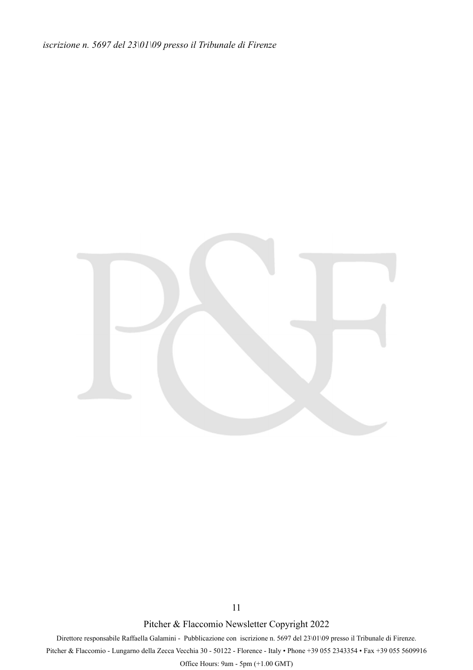*iscrizione n. 5697 del 23\01\09 presso il Tribunale di Firenze*



11

Pitcher & Flaccomio Newsletter Copyright 2022

Direttore responsabile Raffaella Galamini - Pubblicazione con iscrizione n. 5697 del 23\01\09 presso il Tribunale di Firenze. Pitcher & Flaccomio - Lungarno della Zecca Vecchia 30 - 50122 - Florence - Italy • Phone +39 055 2343354 • Fax +39 055 5609916